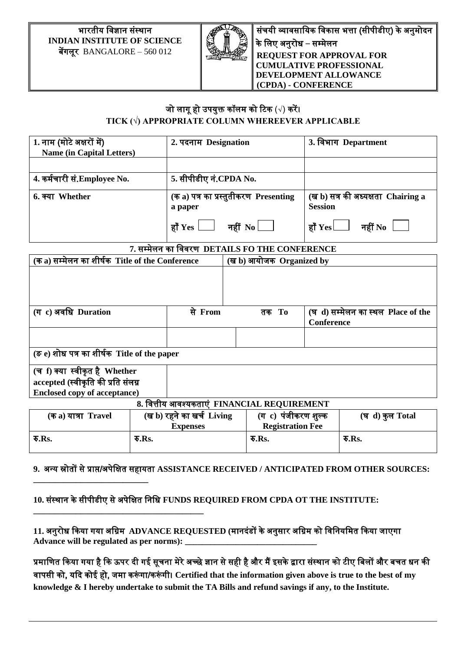### भारतीय विज्ञान संस्थान **INDIAN INSTITUTE OF SCIENCE** बेंगलूर BANGALORE – 560 012

**\_\_\_\_\_\_\_\_\_\_\_\_\_\_\_\_\_\_\_\_\_\_\_\_\_\_\_**

**\_\_\_\_\_\_\_\_\_\_\_\_\_\_\_\_\_\_\_\_\_\_\_\_\_\_\_\_\_\_\_\_\_\_\_\_\_\_\_\_**



संचयी व्यावसायिक विकास भत्ता (सीपीडीए) के अनुमोदन के वलए अनुरोध – सम्मेलन **REQUEST FOR APPROVAL FOR CUMULATIVE PROFESSIONAL DEVELOPMENT ALLOWANCE (CPDA) - CONFERENCE**

# जो लागू हो उपयुक्त कॉलम को टिक (√) करें। **TICK (√) APPROPRIATE COLUMN WHEREEVER APPLICABLE**

| 1. नाम (मोटे अक्षरों में)                                                   |  | 2. पदनाम Designation                             |  |                                             |                                    | 3. विभाग Department                |
|-----------------------------------------------------------------------------|--|--------------------------------------------------|--|---------------------------------------------|------------------------------------|------------------------------------|
| <b>Name (in Capital Letters)</b>                                            |  |                                                  |  |                                             |                                    |                                    |
|                                                                             |  |                                                  |  |                                             |                                    |                                    |
| 4. कर्मचारी सं.Employee No.                                                 |  | 5. सीपीडीए नं.CPDA No.                           |  |                                             |                                    |                                    |
| 6. क्या Whether                                                             |  | (क a) पत्र का प्रस्तुतीकरण Presenting<br>a paper |  | <b>Session</b>                              | (ख b) सत्र की अध्यक्षता Chairing a |                                    |
|                                                                             |  | हाँ $Yes$ $\Box$ नहीं $No$ $\Box$                |  | हाँ $\operatorname{Yes}\Box$                | नहीं $\bf{No}$                     |                                    |
| 7. सम्मेलन का विवरण DETAILS FO THE CONFERENCE                               |  |                                                  |  |                                             |                                    |                                    |
| (क a) सम्मेलन का शीर्षक Title of the Conference<br>(ख b) आयोजक Organized by |  |                                                  |  |                                             |                                    |                                    |
|                                                                             |  |                                                  |  |                                             |                                    |                                    |
| (ग c) अवधि Duration                                                         |  | से From                                          |  | तक To                                       | Conference                         | (घ d) सम्मेलन का स्थल Place of the |
|                                                                             |  |                                                  |  |                                             |                                    |                                    |
| (ङ e) शोध पत्र का शीर्षक Title of the paper                                 |  |                                                  |  |                                             |                                    |                                    |
| (च f) क्या स्वीकृत है Whether                                               |  |                                                  |  |                                             |                                    |                                    |
| accepted (स्वीकृति की प्रति संलग्न                                          |  |                                                  |  |                                             |                                    |                                    |
| <b>Enclosed copy of acceptance)</b>                                         |  |                                                  |  |                                             |                                    |                                    |
|                                                                             |  |                                                  |  | 8. वित्तीय आवश्यकताएं FINANCIAL REQUIREMENT |                                    |                                    |
| (क a) यात्रा Travel                                                         |  | (ख b) रहने का खर्च  Living                       |  | (ग c) पंजीकरण शुल्क                         |                                    | (घ d) कुल Total                    |

| (क a) यात्रा Travel           | (ख b) रहने का खर्च Living<br>Expenses | (ग c) पजीकरण शुल्क<br><b>Registration Fee</b> | (घ d) कुल Total |
|-------------------------------|---------------------------------------|-----------------------------------------------|-----------------|
| $\overline{\mathbf{v}}$ . Rs. | रु.Rs.                                | $\overline{\mathbf{v}}$ .Rs.                  | रु.Rs.          |

### **9.** अन्य स्रोतों से प्राप्त/अपेवक्षत सहायता **ASSISTANCE RECEIVED / ANTICIPATED FROM OTHER SOURCES:**

**10.** संस्थान के सीपीडीए से अपेवक्षत वनवध **FUNDS REQUIRED FROM CPDA OT THE INSTITUTE:**

**11.** अनुरोध ककया गया अविम **ADVANCE REQUESTED (**मानदंडों के अनुसार अविम को विवनयवमत ककया जाएगा **Advance will be regulated as per norms): \_\_\_\_\_\_\_\_\_\_\_\_\_\_\_\_\_\_\_\_\_\_\_\_\_\_\_\_\_\_\_**

प्रमाणित किया गया है कि ऊपर दी गई सूचना मेरे अच्छे ज्ञान से सही है और मैं इसके द्वारा संस्थान को टीए बिलों और बचत धन की िापसी को, यकद कोई हो, जमा करं गा/करं गी। **Certified that the information given above is true to the best of my knowledge & I hereby undertake to submit the TA Bills and refund savings if any, to the Institute.**